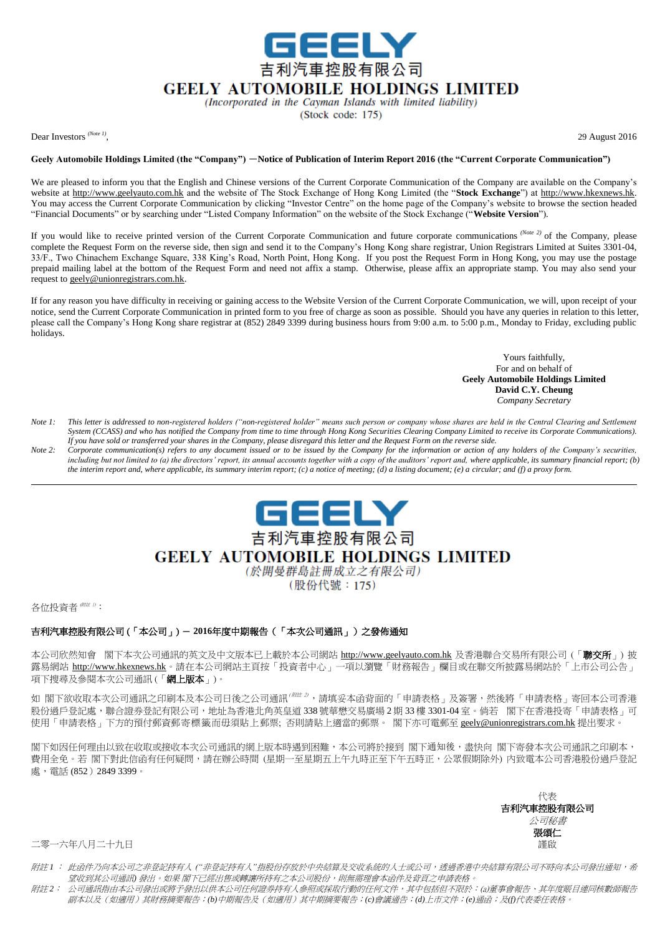

## **GEELY AUTOMOBILE HOLDINGS LIMITED**

(Incorporated in the Cayman Islands with limited liability)

(Stock code: 175)

Dear Investors *(Note 1)*

, 29 August 2016

## **Geely Automobile Holdings Limited (the "Company")** -**Notice of Publication of Interim Report 2016 (the "Current Corporate Communication")**

We are pleased to inform you that the English and Chinese versions of the Current Corporate Communication of the Company are available on the Company's website at http://www.geelyauto.com.hk and the website of The Stock Exchange of Hong Kong Limited (the "**Stock Exchange**") at http://www.hkexnews.hk. You may access the Current Corporate Communication by clicking "Investor Centre" on the home page of the Company's website to browse the section headed "Financial Documents" or by searching under "Listed Company Information" on the website of the Stock Exchange ("**Website Version**").

If you would like to receive printed version of the Current Corporate Communication and future corporate communications *(Note 2)* of the Company, please complete the Request Form on the reverse side, then sign and send it to the Company's Hong Kong share registrar, Union Registrars Limited at Suites 3301-04, 33/F., Two Chinachem Exchange Square, 338 King's Road, North Point, Hong Kong. If you post the Request Form in Hong Kong, you may use the postage prepaid mailing label at the bottom of the Request Form and need not affix a stamp. Otherwise, please affix an appropriate stamp. You may also send your request to geely@unionregistrars.com.hk.

If for any reason you have difficulty in receiving or gaining access to the Website Version of the Current Corporate Communication, we will, upon receipt of your notice, send the Current Corporate Communication in printed form to you free of charge as soon as possible. Should you have any queries in relation to this letter, please call the Company's Hong Kong share registrar at (852) 2849 3399 during business hours from 9:00 a.m. to 5:00 p.m., Monday to Friday, excluding public holidays.

> Yours faithfully, For and on behalf of **Geely Automobile Holdings Limited David C.Y. Cheung** *Company Secretary*

- *Note 1: This letter is addressed to non-registered holders ("non-registered holder" means such person or company whose shares are held in the Central Clearing and Settlement System (CCASS) and who has notified the Company from time to time through Hong Kong Securities Clearing Company Limited to receive its Corporate Communications). If you have sold or transferred your shares in the Company, please disregard this letter and the Request Form on the reverse side.*
- *Note 2: Corporate communication(s) refers to any document issued or to be issued by the Company for the information or action of any holders of the Company's securities, including but not limited to (a) the directors' report, its annual accounts together with a copy of the auditors' report and, where applicable, its summary financial report; (b) the interim report and, where applicable, its summary interim report; (c) a notice of meeting; (d) a listing document; (e) a circular; and (f) a proxy form.*



# **GEELY AUTOMOBILE HOLDINGS LIMITED**

(於開曼群島註冊成立之有限公司) (股份代號: 175)

各位投資者 (附註 1):

## 吉利汽車控股有限公司 (「本公司」) - **2016**年度中期報告(「本次公司通訊」)之發佈通知

本公司欣然知會 閣下本次公司通訊的英文及中文版本已上載於本公司網站 http://www.geelyauto.com.hk 及香港聯合交易所有限公司 (「**聯交所**」) 披 露易網站 http://www.hkexnews.hk。請在本公司網站主頁按「投資者中心」一項以瀏覽「財務報告」欄目或在聯交所披露易網站於「上市公司公告」 項下搜尋及參閱本次公司通訊 (「網上版本」)。

如 閣下欲收取本次公司通訊之印刷本及本公司日後之公司通訊<sup>(## 3</sup>,請填妥本函背面的「申請表格」及簽署,然後將「申請表格」寄回本公司香港 股份過戶登記處,聯合證券登記有限公司,地址為香港北角英皇道 338 號華懋交易廣場 2 期 33 樓 3301-04 室。倘若 閣下在香港投寄「申請表格」可 使用「申請表格」下方的預付郵資郵寄標籤而毋須貼上郵票; 否則請貼上適當的郵票。 閣下亦可電郵至 geely@unionregistrars.com.hk 提出要求。

閣下如因任何理由以致在收取或接收本次公司通訊的網上版本時遇到困難,本公司將於接到 閣下通知後,盡快向 閣下寄發本次公司通訊之印刷本, 費用全免。若 閣下對此信函有任何疑問,請在辦公時間 (星期一至星期五上午九時正至下午五時正,公眾假期除外) 内致電本公司香港股份過戶登記 處,電話 (852)2849 3399。

> 代表 吉利汽車控股有限公司 公司秘書 張頌仁

二零一六年八月二十九日 善 こうしょう しょうしょう しょうしょう しゅうしゅん こうしゅう かいしゅう にゅうしゅう 謹啟

- 附註 *1* : 此函件乃向本公司之非登記持有人 *("*非登記持有人*"*指股份存放於中央結算及交收系統的人士或公司,透過香港中央結算有限公司不時向本公司發出通知,希 望收到其公司通訊*)* 發出。如果 閣下已經出售或轉讓所持有之本公司股份,則無需理會本函件及背頁之申請表格。
- 附註 *2*: 公司通訊指由本公司發出或將予發出以供本公司任何證券持有人參照或採取行動的任何文件,其中包括但不限於:(a)董事會報告、其年度賬目連同核數師報告 副本以及(如適用)其財務摘要報告;*(b)*中期報告及(如適用)其中期摘要報告;*(c)*會議通告;*(d)*上市文件;*(e)*通函;及*(f)*代表委任表格。